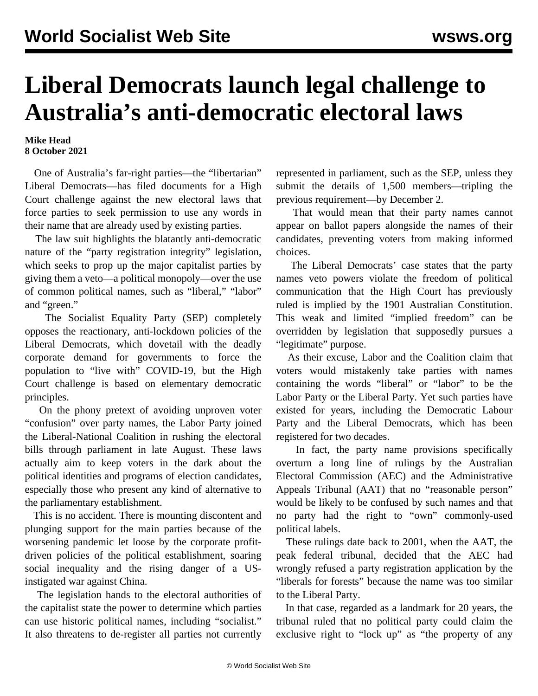## **Liberal Democrats launch legal challenge to Australia's anti-democratic electoral laws**

## **Mike Head 8 October 2021**

 One of Australia's far-right parties—the "libertarian" Liberal Democrats—has filed documents for a High Court challenge against the new electoral laws that force parties to seek permission to use any words in their name that are already used by existing parties.

 The law suit highlights the blatantly anti-democratic nature of the "party registration integrity" legislation, which seeks to prop up the major capitalist parties by giving them a veto—a political monopoly—over the use of common political names, such as "liberal," "labor" and "green."

 The Socialist Equality Party (SEP) completely opposes the reactionary, anti-lockdown policies of the Liberal Democrats, which dovetail with the deadly corporate demand for governments to force the population to "live with" COVID-19, but the High Court challenge is based on elementary democratic principles.

 On the phony pretext of avoiding unproven voter "confusion" over party names, the Labor Party joined the Liberal-National Coalition in rushing the electoral bills through parliament in late August. These laws actually aim to keep voters in the dark about the political identities and programs of election candidates, especially those who present any kind of alternative to the parliamentary establishment.

 This is no accident. There is mounting discontent and plunging support for the main parties because of the worsening pandemic let loose by the corporate profitdriven policies of the political establishment, soaring social inequality and the rising danger of a USinstigated war against China.

 The legislation hands to the electoral authorities of the capitalist state the power to determine which parties can use historic political names, including "socialist." It also threatens to de-register all parties not currently

represented in parliament, such as the SEP, unless they submit the details of 1,500 members—tripling the previous requirement—by December 2.

 That would mean that their party names cannot appear on ballot papers alongside the names of their candidates, preventing voters from making informed choices.

 The Liberal Democrats' case states that the party names veto powers violate the freedom of political communication that the High Court has previously ruled is implied by the 1901 Australian Constitution. This weak and limited "implied freedom" can be overridden by legislation that supposedly pursues a "legitimate" purpose.

 As their excuse, Labor and the Coalition claim that voters would mistakenly take parties with names containing the words "liberal" or "labor" to be the Labor Party or the Liberal Party. Yet such parties have existed for years, including the Democratic Labour Party and the Liberal Democrats, which has been registered for two decades.

 In fact, the party name provisions specifically overturn a long line of rulings by the Australian Electoral Commission (AEC) and the Administrative Appeals Tribunal (AAT) that no "reasonable person" would be likely to be confused by such names and that no party had the right to "own" commonly-used political labels.

 These rulings date back to 2001, when the AAT, the peak federal tribunal, decided that the AEC had wrongly refused a party registration application by the "liberals for forests" because the name was too similar to the Liberal Party.

 In that case, regarded as a landmark for 20 years, the tribunal ruled that no political party could claim the exclusive right to "lock up" as "the property of any